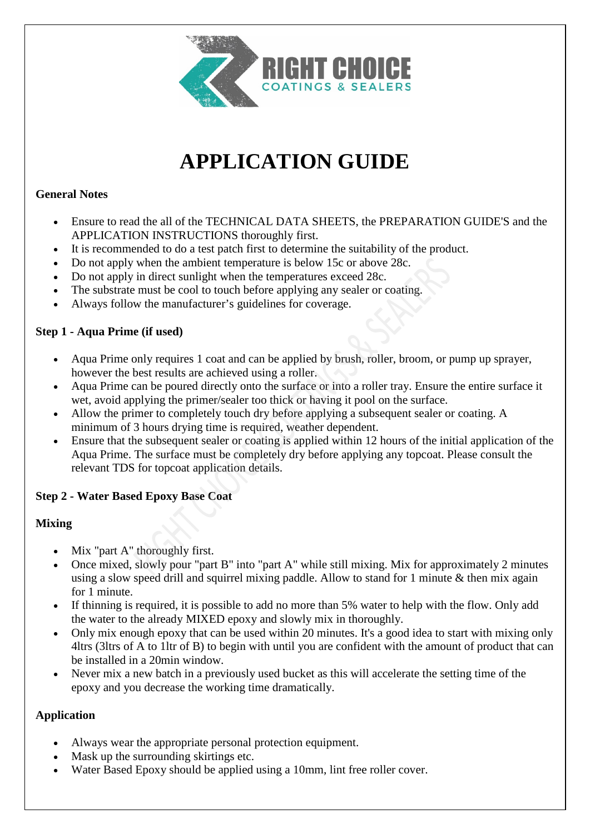

# **APPLICATION GUIDE**

## **General Notes**

- Ensure to read the all of the TECHNICAL DATA SHEETS, the PREPARATION GUIDE'S and the APPLICATION INSTRUCTIONS thoroughly first.
- It is recommended to do a test patch first to determine the suitability of the product.
- Do not apply when the ambient temperature is below 15c or above 28c.
- Do not apply in direct sunlight when the temperatures exceed 28c.
- The substrate must be cool to touch before applying any sealer or coating.
- Always follow the manufacturer's guidelines for coverage.

#### **Step 1 - Aqua Prime (if used)**

- Aqua Prime only requires 1 coat and can be applied by brush, roller, broom, or pump up sprayer, however the best results are achieved using a roller.
- Aqua Prime can be poured directly onto the surface or into a roller tray. Ensure the entire surface it wet, avoid applying the primer/sealer too thick or having it pool on the surface.
- Allow the primer to completely touch dry before applying a subsequent sealer or coating. A minimum of 3 hours drying time is required, weather dependent.
- Ensure that the subsequent sealer or coating is applied within 12 hours of the initial application of the Aqua Prime. The surface must be completely dry before applying any topcoat. Please consult the relevant TDS for topcoat application details.

#### **Step 2 - Water Based Epoxy Base Coat**

#### **Mixing**

- Mix "part A" thoroughly first.
- Once mixed, slowly pour "part B" into "part A" while still mixing. Mix for approximately 2 minutes using a slow speed drill and squirrel mixing paddle. Allow to stand for 1 minute & then mix again for 1 minute.
- If thinning is required, it is possible to add no more than 5% water to help with the flow. Only add the water to the already MIXED epoxy and slowly mix in thoroughly.
- Only mix enough epoxy that can be used within 20 minutes. It's a good idea to start with mixing only 4ltrs (3ltrs of A to 1ltr of B) to begin with until you are confident with the amount of product that can be installed in a 20min window.
- Never mix a new batch in a previously used bucket as this will accelerate the setting time of the epoxy and you decrease the working time dramatically.

#### **Application**

- Always wear the appropriate personal protection equipment.
- Mask up the surrounding skirtings etc.
- Water Based Epoxy should be applied using a 10mm, lint free roller cover.